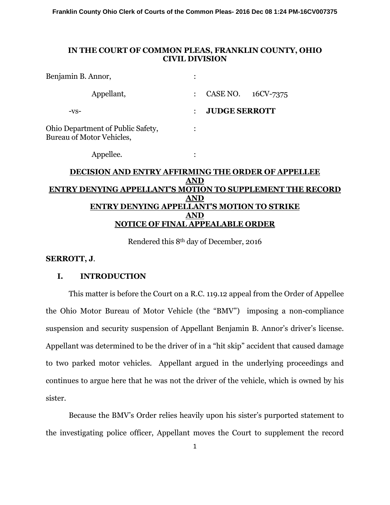**Franklin County Ohio Clerk of Courts of the Common Pleas- 2016 Dec 08 1:24 PM-16CV007375**

# **IN THE COURT OF COMMON PLEAS, FRANKLIN COUNTY, OHIO CIVIL DIVISION**

| Benjamin B. Annor,                                                    | ٠              |                      |           |
|-----------------------------------------------------------------------|----------------|----------------------|-----------|
| Appellant,                                                            | $\ddot{\cdot}$ | CASE NO.             | 16CV-7375 |
| -VS-                                                                  | $\ddot{\cdot}$ | <b>JUDGE SERROTT</b> |           |
| <b>Ohio Department of Public Safety,</b><br>Bureau of Motor Vehicles, | $\bullet$      |                      |           |
| Appellee.                                                             | ٠<br>$\bullet$ |                      |           |
| <b>DECISION AND ENTRY AFFIRMING THE ORDER OF APPELLEE</b>             |                |                      |           |
| AND                                                                   |                |                      |           |
| ENTRY DENYING APPELLANT'S MOTION TO SUPPLEMENT THE RECORD             |                |                      |           |
|                                                                       |                |                      |           |

## **ENTRY DENYING APPELLANT'S MOTION TO STRIKE AND NOTICE OF FINAL APPEALABLE ORDER**

Rendered this 8th day of December, 2016

#### **SERROTT, J**.

# **I. INTRODUCTION**

This matter is before the Court on a R.C. 119.12 appeal from the Order of Appellee the Ohio Motor Bureau of Motor Vehicle (the "BMV") imposing a non-compliance suspension and security suspension of Appellant Benjamin B. Annor's driver's license. Appellant was determined to be the driver of in a "hit skip" accident that caused damage to two parked motor vehicles. Appellant argued in the underlying proceedings and continues to argue here that he was not the driver of the vehicle, which is owned by his sister.

Because the BMV's Order relies heavily upon his sister's purported statement to the investigating police officer, Appellant moves the Court to supplement the record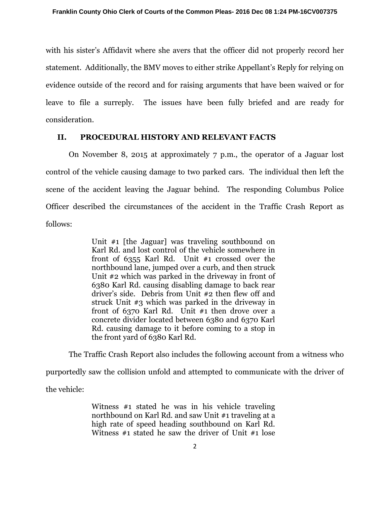with his sister's Affidavit where she avers that the officer did not properly record her statement. Additionally, the BMV moves to either strike Appellant's Reply for relying on evidence outside of the record and for raising arguments that have been waived or for leave to file a surreply. The issues have been fully briefed and are ready for consideration.

## **II. PROCEDURAL HISTORY AND RELEVANT FACTS**

On November 8, 2015 at approximately 7 p.m., the operator of a Jaguar lost control of the vehicle causing damage to two parked cars. The individual then left the scene of the accident leaving the Jaguar behind. The responding Columbus Police Officer described the circumstances of the accident in the Traffic Crash Report as follows:

> Unit #1 [the Jaguar] was traveling southbound on Karl Rd. and lost control of the vehicle somewhere in front of 6355 Karl Rd. Unit #1 crossed over the northbound lane, jumped over a curb, and then struck Unit #2 which was parked in the driveway in front of 6380 Karl Rd. causing disabling damage to back rear driver's side. Debris from Unit #2 then flew off and struck Unit #3 which was parked in the driveway in front of 6370 Karl Rd. Unit #1 then drove over a concrete divider located between 6380 and 6370 Karl Rd. causing damage to it before coming to a stop in the front yard of 6380 Karl Rd.

The Traffic Crash Report also includes the following account from a witness who purportedly saw the collision unfold and attempted to communicate with the driver of

the vehicle:

Witness #1 stated he was in his vehicle traveling northbound on Karl Rd. and saw Unit #1 traveling at a high rate of speed heading southbound on Karl Rd. Witness #1 stated he saw the driver of Unit #1 lose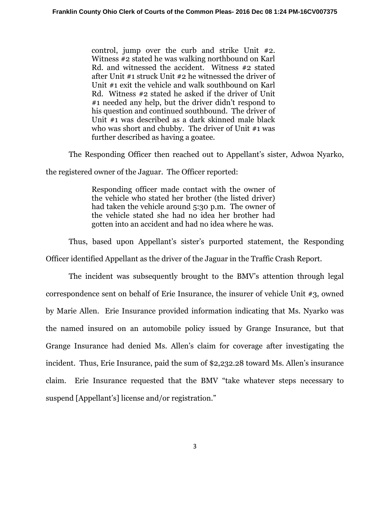control, jump over the curb and strike Unit #2. Witness #2 stated he was walking northbound on Karl Rd. and witnessed the accident. Witness #2 stated after Unit #1 struck Unit #2 he witnessed the driver of Unit #1 exit the vehicle and walk southbound on Karl Rd. Witness #2 stated he asked if the driver of Unit #1 needed any help, but the driver didn't respond to his question and continued southbound. The driver of Unit #1 was described as a dark skinned male black who was short and chubby. The driver of Unit #1 was further described as having a goatee.

The Responding Officer then reached out to Appellant's sister, Adwoa Nyarko,

the registered owner of the Jaguar. The Officer reported:

Responding officer made contact with the owner of the vehicle who stated her brother (the listed driver) had taken the vehicle around 5:30 p.m. The owner of the vehicle stated she had no idea her brother had gotten into an accident and had no idea where he was.

Thus, based upon Appellant's sister's purported statement, the Responding Officer identified Appellant as the driver of the Jaguar in the Traffic Crash Report.

The incident was subsequently brought to the BMV's attention through legal correspondence sent on behalf of Erie Insurance, the insurer of vehicle Unit #3, owned by Marie Allen. Erie Insurance provided information indicating that Ms. Nyarko was the named insured on an automobile policy issued by Grange Insurance, but that Grange Insurance had denied Ms. Allen's claim for coverage after investigating the incident. Thus, Erie Insurance, paid the sum of \$2,232.28 toward Ms. Allen's insurance claim. Erie Insurance requested that the BMV "take whatever steps necessary to suspend [Appellant's] license and/or registration."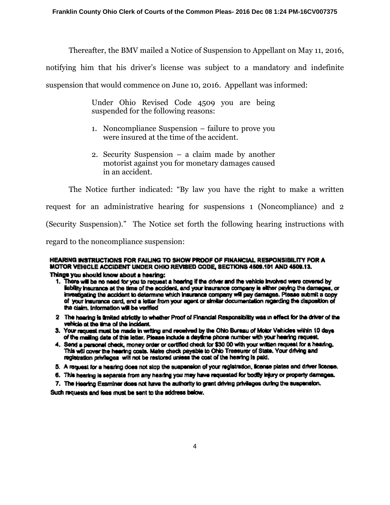Thereafter, the BMV mailed a Notice of Suspension to Appellant on May 11, 2016,

notifying him that his driver's license was subject to a mandatory and indefinite

suspension that would commence on June 10, 2016. Appellant was informed:

Under Ohio Revised Code 4509 you are being suspended for the following reasons:

- 1. Noncompliance Suspension failure to prove you were insured at the time of the accident.
- 2. Security Suspension a claim made by another motorist against you for monetary damages caused in an accident.

The Notice further indicated: "By law you have the right to make a written request for an administrative hearing for suspensions 1 (Noncompliance) and 2 (Security Suspension)." The Notice set forth the following hearing instructions with

regard to the noncompliance suspension:

# HEARING INSTRUCTIONS FOR FAILING TO SHOW PROOF OF FINANCIAL RESPONSIBILITY FOR A MOTOR VEHICLE ACCIDENT UNDER OHIO REVISED CODE, SECTIONS 4509.101 AND 4509.13.

#### Things you should know about a hearing:

- 1. There will be no need for you to request a hearing if the driver and the vehicle involved were covered by Eablity insurance at the time of the accident, and your insurance company is either paying the damages, or investigating the accident to determine which insurance company will pay damages. Please submit a copy of your insurance card, and a letter from your agent or similar documentation regarding the disposition of the claim, Information will be verified
- 2 The hearing is limited strictly to whether Proof of Financial Responsibility was in effect for the driver of the vehicle at the time of the incident.
- 3. Your request must be made in writing and received by the Ohio Bureau of Motor Vehicles within 10 days. of the mailing date of this letter. Please include a daytime phone number with your hearing request.
- 4. Send a personal check, money order or certified check for \$30 00 with your written request for a hearing. This will cover the hearing costs. Make check payable to Ohio Treasurer of State. Your driving and registration privileges will not be restored unless the cost of the hearing is paid.
- 5. A request for a hearing does not stop the suspension of your registration, license plates and driver license.
- 6. This hearing is separate from any hearing you may have requested for bodily injury or property damages.
- 7. The Hearing Examiner does not have the authority to grant driving privileges during the suspension.

Such requests and fees must be sent to the address below.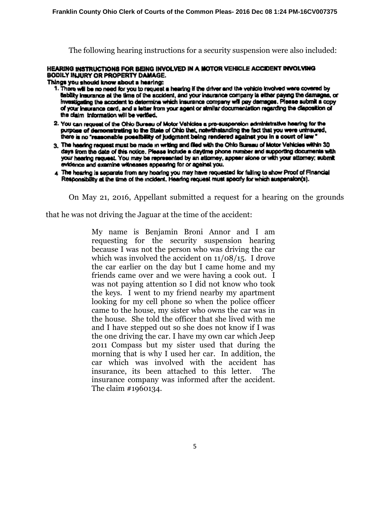The following hearing instructions for a security suspension were also included:

#### HEARING INSTRUCTIONS FOR BEING INVOLVED IN A MOTOR VEHICLE ACCIDENT INVOLVING **BODILY INJURY OR PROPERTY DAMAGE.**

Things you should know about a hearing:

- 1. There will be no need for you to request a hearing if the driver and the vehicle involved were covered by Sability insurance at the time of the accident, and your insurance company is either paying the damages, or investigating the accident to determine which insurance company will pay damages. Please submit a copy of your insurance card, and a letter from your agent or similar documentation regarding the disposition of the claim information will be verified.
- 2. You can request of the Ohio Bureau of Motor Vehicles a pre-suspension administrative hearing for the purpose of demonstrating to the State of Ohio that, notwithstanding the fact that you were uninsured, there is no "reasonable possibility of judgment being rendered against you in a court of law"
- 3. The hearing request must be made in writing and filed with the Ohio Bureau of Motor Vehicles within 30 days from the date of this notice. Please include a daytime phone number and supporting documents with your hearing request. You may be represented by an attorney, appear alone or with your attorney; submit evidence and examine witnesses appearing for or against you.
- 4 The hearing is separate from any hearing you may have requested for failing to show Proof of Financial Responsibility at the time of the incident. Hearing request must specify for which suspension(s).

On May 21, 2016, Appellant submitted a request for a hearing on the grounds

that he was not driving the Jaguar at the time of the accident:

My name is Benjamin Broni Annor and I am requesting for the security suspension hearing because I was not the person who was driving the car which was involved the accident on  $11/08/15$ . I drove the car earlier on the day but I came home and my friends came over and we were having a cook out. I was not paying attention so I did not know who took the keys. I went to my friend nearby my apartment looking for my cell phone so when the police officer came to the house, my sister who owns the car was in the house. She told the officer that she lived with me and I have stepped out so she does not know if I was the one driving the car. I have my own car which Jeep 2011 Compass but my sister used that during the morning that is why I used her car. In addition, the car which was involved with the accident has insurance, its been attached to this letter. The insurance company was informed after the accident. The claim #1960134.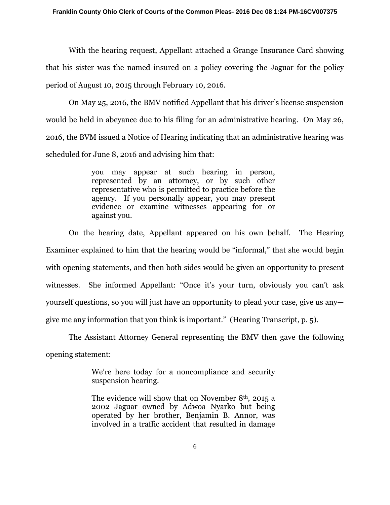With the hearing request, Appellant attached a Grange Insurance Card showing that his sister was the named insured on a policy covering the Jaguar for the policy period of August 10, 2015 through February 10, 2016.

 On May 25, 2016, the BMV notified Appellant that his driver's license suspension would be held in abeyance due to his filing for an administrative hearing. On May 26, 2016, the BVM issued a Notice of Hearing indicating that an administrative hearing was scheduled for June 8, 2016 and advising him that:

> you may appear at such hearing in person, represented by an attorney, or by such other representative who is permitted to practice before the agency. If you personally appear, you may present evidence or examine witnesses appearing for or against you.

On the hearing date, Appellant appeared on his own behalf. The Hearing Examiner explained to him that the hearing would be "informal," that she would begin with opening statements, and then both sides would be given an opportunity to present witnesses. She informed Appellant: "Once it's your turn, obviously you can't ask yourself questions, so you will just have an opportunity to plead your case, give us any give me any information that you think is important." (Hearing Transcript, p. 5).

The Assistant Attorney General representing the BMV then gave the following opening statement:

> We're here today for a noncompliance and security suspension hearing.

> The evidence will show that on November 8th, 2015 a 2002 Jaguar owned by Adwoa Nyarko but being operated by her brother, Benjamin B. Annor, was involved in a traffic accident that resulted in damage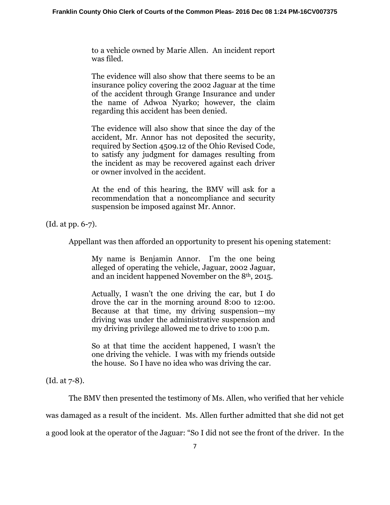to a vehicle owned by Marie Allen. An incident report was filed.

The evidence will also show that there seems to be an insurance policy covering the 2002 Jaguar at the time of the accident through Grange Insurance and under the name of Adwoa Nyarko; however, the claim regarding this accident has been denied.

The evidence will also show that since the day of the accident, Mr. Annor has not deposited the security, required by Section 4509.12 of the Ohio Revised Code, to satisfy any judgment for damages resulting from the incident as may be recovered against each driver or owner involved in the accident.

At the end of this hearing, the BMV will ask for a recommendation that a noncompliance and security suspension be imposed against Mr. Annor.

(Id. at pp. 6-7).

Appellant was then afforded an opportunity to present his opening statement:

My name is Benjamin Annor. I'm the one being alleged of operating the vehicle, Jaguar, 2002 Jaguar, and an incident happened November on the 8th, 2015.

Actually, I wasn't the one driving the car, but I do drove the car in the morning around 8:00 to 12:00. Because at that time, my driving suspension—my driving was under the administrative suspension and my driving privilege allowed me to drive to 1:00 p.m.

So at that time the accident happened, I wasn't the one driving the vehicle. I was with my friends outside the house. So I have no idea who was driving the car.

(Id. at 7-8).

 The BMV then presented the testimony of Ms. Allen, who verified that her vehicle was damaged as a result of the incident. Ms. Allen further admitted that she did not get a good look at the operator of the Jaguar: "So I did not see the front of the driver. In the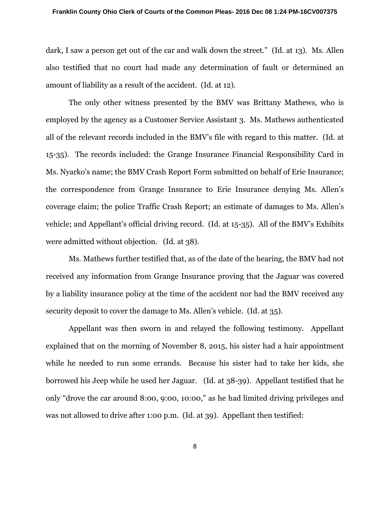dark, I saw a person get out of the car and walk down the street." (Id. at 13). Ms. Allen also testified that no court had made any determination of fault or determined an amount of liability as a result of the accident. (Id. at 12).

 The only other witness presented by the BMV was Brittany Mathews, who is employed by the agency as a Customer Service Assistant 3. Ms. Mathews authenticated all of the relevant records included in the BMV's file with regard to this matter. (Id. at 15-35). The records included: the Grange Insurance Financial Responsibility Card in Ms. Nyarko's name; the BMV Crash Report Form submitted on behalf of Erie Insurance; the correspondence from Grange Insurance to Erie Insurance denying Ms. Allen's coverage claim; the police Traffic Crash Report; an estimate of damages to Ms. Allen's vehicle; and Appellant's official driving record. (Id. at 15-35). All of the BMV's Exhibits were admitted without objection. (Id. at 38).

Ms. Mathews further testified that, as of the date of the hearing, the BMV had not received any information from Grange Insurance proving that the Jaguar was covered by a liability insurance policy at the time of the accident nor had the BMV received any security deposit to cover the damage to Ms. Allen's vehicle. (Id. at 35).

 Appellant was then sworn in and relayed the following testimony. Appellant explained that on the morning of November 8, 2015, his sister had a hair appointment while he needed to run some errands. Because his sister had to take her kids, she borrowed his Jeep while he used her Jaguar. (Id. at 38-39). Appellant testified that he only "drove the car around 8:00, 9:00, 10:00," as he had limited driving privileges and was not allowed to drive after 1:00 p.m. (Id. at 39). Appellant then testified:

8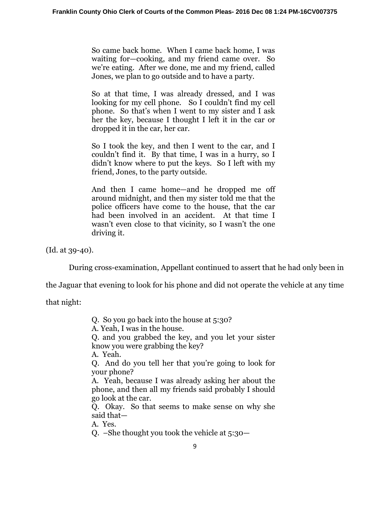So came back home. When I came back home, I was waiting for—cooking, and my friend came over. So we're eating. After we done, me and my friend, called Jones, we plan to go outside and to have a party.

So at that time, I was already dressed, and I was looking for my cell phone. So I couldn't find my cell phone. So that's when I went to my sister and I ask her the key, because I thought I left it in the car or dropped it in the car, her car.

So I took the key, and then I went to the car, and I couldn't find it. By that time, I was in a hurry, so I didn't know where to put the keys. So I left with my friend, Jones, to the party outside.

And then I came home—and he dropped me off around midnight, and then my sister told me that the police officers have come to the house, that the car had been involved in an accident. At that time I wasn't even close to that vicinity, so I wasn't the one driving it.

(Id. at 39-40).

During cross-examination, Appellant continued to assert that he had only been in

the Jaguar that evening to look for his phone and did not operate the vehicle at any time

that night:

Q. So you go back into the house at 5:30?

A. Yeah, I was in the house.

Q. and you grabbed the key, and you let your sister know you were grabbing the key?

A. Yeah.

Q. And do you tell her that you're going to look for your phone?

A. Yeah, because I was already asking her about the phone, and then all my friends said probably I should go look at the car.

Q. Okay. So that seems to make sense on why she said that—

A. Yes.

Q. –She thought you took the vehicle at 5:30—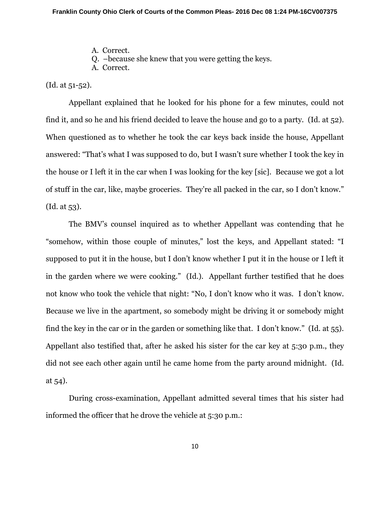- A. Correct.
- Q. –because she knew that you were getting the keys.

A. Correct.

(Id. at 51-52).

 Appellant explained that he looked for his phone for a few minutes, could not find it, and so he and his friend decided to leave the house and go to a party. (Id. at 52). When questioned as to whether he took the car keys back inside the house, Appellant answered: "That's what I was supposed to do, but I wasn't sure whether I took the key in the house or I left it in the car when I was looking for the key [sic]. Because we got a lot of stuff in the car, like, maybe groceries. They're all packed in the car, so I don't know." (Id. at 53).

 The BMV's counsel inquired as to whether Appellant was contending that he "somehow, within those couple of minutes," lost the keys, and Appellant stated: "I supposed to put it in the house, but I don't know whether I put it in the house or I left it in the garden where we were cooking." (Id.). Appellant further testified that he does not know who took the vehicle that night: "No, I don't know who it was. I don't know. Because we live in the apartment, so somebody might be driving it or somebody might find the key in the car or in the garden or something like that. I don't know." (Id. at 55). Appellant also testified that, after he asked his sister for the car key at 5:30 p.m., they did not see each other again until he came home from the party around midnight. (Id. at 54).

 During cross-examination, Appellant admitted several times that his sister had informed the officer that he drove the vehicle at 5:30 p.m.: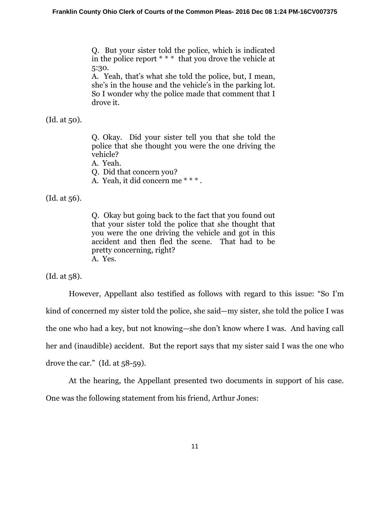Q. But your sister told the police, which is indicated in the police report \* \* \* that you drove the vehicle at 5:30.

A. Yeah, that's what she told the police, but, I mean, she's in the house and the vehicle's in the parking lot. So I wonder why the police made that comment that I drove it.

(Id. at 50).

Q. Okay. Did your sister tell you that she told the police that she thought you were the one driving the vehicle?

A. Yeah.

Q. Did that concern you?

A. Yeah, it did concern me \* \* \* .

(Id. at 56).

Q. Okay but going back to the fact that you found out that your sister told the police that she thought that you were the one driving the vehicle and got in this accident and then fled the scene. That had to be pretty concerning, right? A. Yes.

(Id. at 58).

 However, Appellant also testified as follows with regard to this issue: "So I'm kind of concerned my sister told the police, she said—my sister, she told the police I was the one who had a key, but not knowing—she don't know where I was. And having call her and (inaudible) accident. But the report says that my sister said I was the one who drove the car." (Id. at 58-59).

At the hearing, the Appellant presented two documents in support of his case. One was the following statement from his friend, Arthur Jones: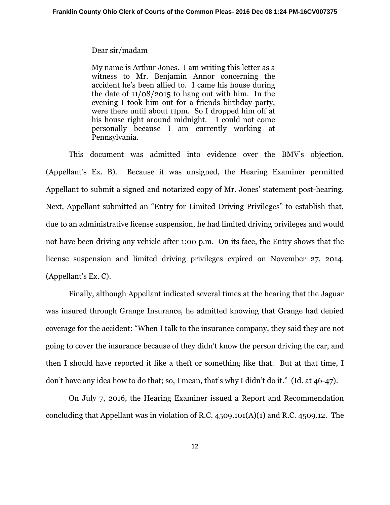#### Dear sir/madam

My name is Arthur Jones. I am writing this letter as a witness to Mr. Benjamin Annor concerning the accident he's been allied to. I came his house during the date of 11/08/2015 to hang out with him. In the evening I took him out for a friends birthday party, were there until about 11pm. So I dropped him off at his house right around midnight. I could not come personally because I am currently working at Pennsylvania.

This document was admitted into evidence over the BMV's objection. (Appellant's Ex. B). Because it was unsigned, the Hearing Examiner permitted Appellant to submit a signed and notarized copy of Mr. Jones' statement post-hearing. Next, Appellant submitted an "Entry for Limited Driving Privileges" to establish that, due to an administrative license suspension, he had limited driving privileges and would not have been driving any vehicle after 1:00 p.m. On its face, the Entry shows that the license suspension and limited driving privileges expired on November 27, 2014. (Appellant's Ex. C).

Finally, although Appellant indicated several times at the hearing that the Jaguar was insured through Grange Insurance, he admitted knowing that Grange had denied coverage for the accident: "When I talk to the insurance company, they said they are not going to cover the insurance because of they didn't know the person driving the car, and then I should have reported it like a theft or something like that. But at that time, I don't have any idea how to do that; so, I mean, that's why I didn't do it." (Id. at 46-47).

On July 7, 2016, the Hearing Examiner issued a Report and Recommendation concluding that Appellant was in violation of R.C. 4509.101(A)(1) and R.C. 4509.12. The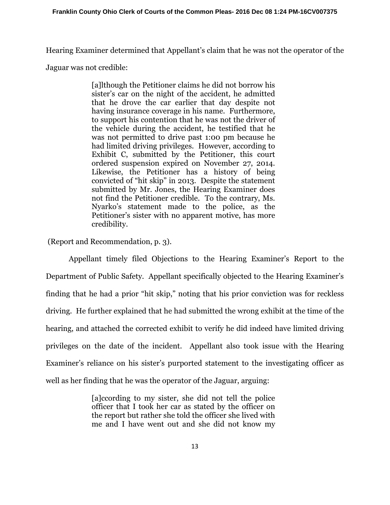Hearing Examiner determined that Appellant's claim that he was not the operator of the

Jaguar was not credible:

[a]lthough the Petitioner claims he did not borrow his sister's car on the night of the accident, he admitted that he drove the car earlier that day despite not having insurance coverage in his name. Furthermore, to support his contention that he was not the driver of the vehicle during the accident, he testified that he was not permitted to drive past 1:00 pm because he had limited driving privileges. However, according to Exhibit C, submitted by the Petitioner, this court ordered suspension expired on November 27, 2014. Likewise, the Petitioner has a history of being convicted of "hit skip" in 2013. Despite the statement submitted by Mr. Jones, the Hearing Examiner does not find the Petitioner credible. To the contrary, Ms. Nyarko's statement made to the police, as the Petitioner's sister with no apparent motive, has more credibility.

(Report and Recommendation, p. 3).

Appellant timely filed Objections to the Hearing Examiner's Report to the Department of Public Safety. Appellant specifically objected to the Hearing Examiner's finding that he had a prior "hit skip," noting that his prior conviction was for reckless driving. He further explained that he had submitted the wrong exhibit at the time of the hearing, and attached the corrected exhibit to verify he did indeed have limited driving privileges on the date of the incident. Appellant also took issue with the Hearing Examiner's reliance on his sister's purported statement to the investigating officer as well as her finding that he was the operator of the Jaguar, arguing:

> [a]ccording to my sister, she did not tell the police officer that I took her car as stated by the officer on the report but rather she told the officer she lived with me and I have went out and she did not know my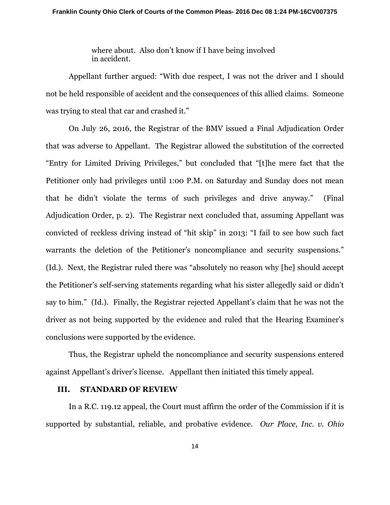where about. Also don't know if I have being involved in accident.

Appellant further argued: "With due respect, I was not the driver and I should not be held responsible of accident and the consequences of this allied claims. Someone was trying to steal that car and crashed it."

On July 26, 2016, the Registrar of the BMV issued a Final Adjudication Order that was adverse to Appellant. The Registrar allowed the substitution of the corrected "Entry for Limited Driving Privileges," but concluded that "[t]he mere fact that the Petitioner only had privileges until 1:00 P.M. on Saturday and Sunday does not mean that he didn't violate the terms of such privileges and drive anyway." (Final Adjudication Order, p. 2). The Registrar next concluded that, assuming Appellant was convicted of reckless driving instead of "hit skip" in 2013: "I fail to see how such fact warrants the deletion of the Petitioner's noncompliance and security suspensions." (Id.). Next, the Registrar ruled there was "absolutely no reason why [he] should accept the Petitioner's self-serving statements regarding what his sister allegedly said or didn't say to him." (Id.). Finally, the Registrar rejected Appellant's claim that he was not the driver as not being supported by the evidence and ruled that the Hearing Examiner's conclusions were supported by the evidence.

Thus, the Registrar upheld the noncompliance and security suspensions entered against Appellant's driver's license. Appellant then initiated this timely appeal.

## **III. STANDARD OF REVIEW**

In a R.C. 119.12 appeal, the Court must affirm the order of the Commission if it is supported by substantial, reliable, and probative evidence. *Our Place, Inc. v. Ohio*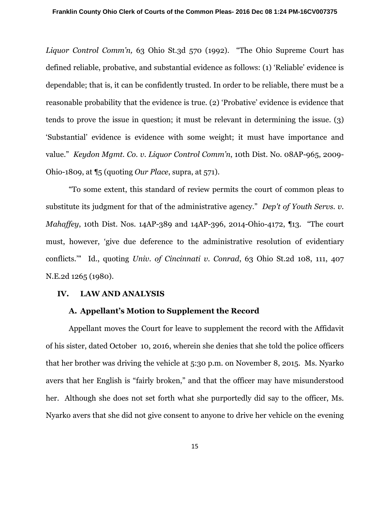*Liquor Control Comm'n,* 63 Ohio St.3d 570 (1992). "The Ohio Supreme Court has defined reliable, probative, and substantial evidence as follows: (1) 'Reliable' evidence is dependable; that is, it can be confidently trusted. In order to be reliable, there must be a reasonable probability that the evidence is true. (2) 'Probative' evidence is evidence that tends to prove the issue in question; it must be relevant in determining the issue. (3) 'Substantial' evidence is evidence with some weight; it must have importance and value." *Keydon Mgmt. Co. v. Liquor Control Comm'n*, 10th Dist. No. 08AP-965, 2009- Ohio-1809, at ¶5 (quoting *Our Place*, supra, at 571).

"To some extent, this standard of review permits the court of common pleas to substitute its judgment for that of the administrative agency." *Dep't of Youth Servs. v. Mahaffey*, 10th Dist. Nos. 14AP-389 and 14AP-396, 2014-Ohio-4172, ¶13. "The court must, however, 'give due deference to the administrative resolution of evidentiary conflicts.'" Id., quoting *Univ. of Cincinnati v. Conrad*, 63 Ohio St.2d 108, 111, 407 N.E.2d 1265 (1980).

#### **IV. LAW AND ANALYSIS**

## **A. Appellant's Motion to Supplement the Record**

Appellant moves the Court for leave to supplement the record with the Affidavit of his sister, dated October 10, 2016, wherein she denies that she told the police officers that her brother was driving the vehicle at 5:30 p.m. on November 8, 2015. Ms. Nyarko avers that her English is "fairly broken," and that the officer may have misunderstood her. Although she does not set forth what she purportedly did say to the officer, Ms. Nyarko avers that she did not give consent to anyone to drive her vehicle on the evening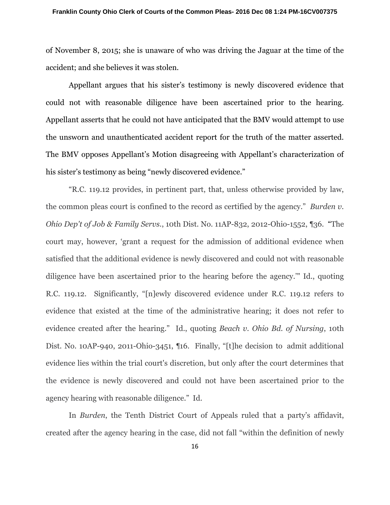of November 8, 2015; she is unaware of who was driving the Jaguar at the time of the accident; and she believes it was stolen.

Appellant argues that his sister's testimony is newly discovered evidence that could not with reasonable diligence have been ascertained prior to the hearing. Appellant asserts that he could not have anticipated that the BMV would attempt to use the unsworn and unauthenticated accident report for the truth of the matter asserted. The BMV opposes Appellant's Motion disagreeing with Appellant's characterization of his sister's testimony as being "newly discovered evidence."

"R.C. 119.12 provides, in pertinent part, that, unless otherwise provided by law, the common pleas court is confined to the record as certified by the agency." *Burden v. Ohio Dep't of Job & Family Servs.*, 10th Dist. No. 11AP-832, 2012-Ohio-1552, ¶36. "The court may, however, 'grant a request for the admission of additional evidence when satisfied that the additional evidence is newly discovered and could not with reasonable diligence have been ascertained prior to the hearing before the agency.'" Id., quoting R.C. 119.12. Significantly, "[n]ewly discovered evidence under R.C. 119.12 refers to evidence that existed at the time of the administrative hearing; it does not refer to evidence created after the hearing." Id., quoting *Beach v. Ohio Bd. of Nursing*, 10th Dist. No. 10AP-940, 2011-Ohio-3451, ¶16. Finally, "[t]he decision to admit additional evidence lies within the trial court's discretion, but only after the court determines that the evidence is newly discovered and could not have been ascertained prior to the agency hearing with reasonable diligence." Id.

In *Burden*, the Tenth District Court of Appeals ruled that a party's affidavit, created after the agency hearing in the case, did not fall "within the definition of newly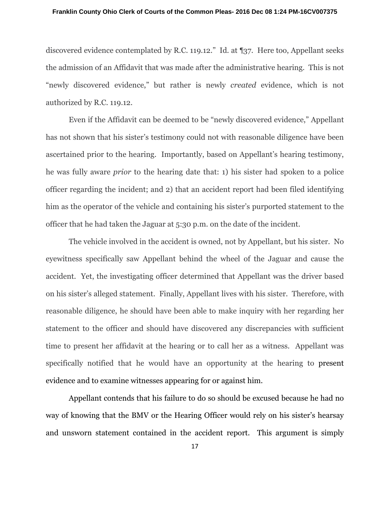#### **Franklin County Ohio Clerk of Courts of the Common Pleas- 2016 Dec 08 1:24 PM-16CV007375**

discovered evidence contemplated by R.C. 119.12." Id. at ¶37. Here too, Appellant seeks the admission of an Affidavit that was made after the administrative hearing. This is not "newly discovered evidence," but rather is newly *created* evidence, which is not authorized by R.C. 119.12.

Even if the Affidavit can be deemed to be "newly discovered evidence," Appellant has not shown that his sister's testimony could not with reasonable diligence have been ascertained prior to the hearing. Importantly, based on Appellant's hearing testimony, he was fully aware *prior* to the hearing date that: 1) his sister had spoken to a police officer regarding the incident; and 2) that an accident report had been filed identifying him as the operator of the vehicle and containing his sister's purported statement to the officer that he had taken the Jaguar at 5:30 p.m. on the date of the incident.

The vehicle involved in the accident is owned, not by Appellant, but his sister. No eyewitness specifically saw Appellant behind the wheel of the Jaguar and cause the accident. Yet, the investigating officer determined that Appellant was the driver based on his sister's alleged statement. Finally, Appellant lives with his sister. Therefore, with reasonable diligence, he should have been able to make inquiry with her regarding her statement to the officer and should have discovered any discrepancies with sufficient time to present her affidavit at the hearing or to call her as a witness. Appellant was specifically notified that he would have an opportunity at the hearing to present evidence and to examine witnesses appearing for or against him.

Appellant contends that his failure to do so should be excused because he had no way of knowing that the BMV or the Hearing Officer would rely on his sister's hearsay and unsworn statement contained in the accident report. This argument is simply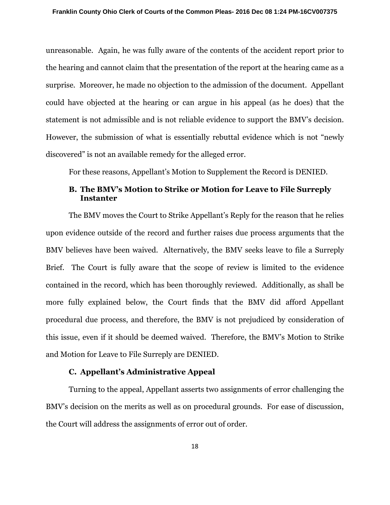unreasonable. Again, he was fully aware of the contents of the accident report prior to the hearing and cannot claim that the presentation of the report at the hearing came as a surprise. Moreover, he made no objection to the admission of the document. Appellant could have objected at the hearing or can argue in his appeal (as he does) that the statement is not admissible and is not reliable evidence to support the BMV's decision. However, the submission of what is essentially rebuttal evidence which is not "newly discovered" is not an available remedy for the alleged error.

For these reasons, Appellant's Motion to Supplement the Record is DENIED.

# **B. The BMV's Motion to Strike or Motion for Leave to File Surreply Instanter**

 The BMV moves the Court to Strike Appellant's Reply for the reason that he relies upon evidence outside of the record and further raises due process arguments that the BMV believes have been waived. Alternatively, the BMV seeks leave to file a Surreply Brief. The Court is fully aware that the scope of review is limited to the evidence contained in the record, which has been thoroughly reviewed. Additionally, as shall be more fully explained below, the Court finds that the BMV did afford Appellant procedural due process, and therefore, the BMV is not prejudiced by consideration of this issue, even if it should be deemed waived. Therefore, the BMV's Motion to Strike and Motion for Leave to File Surreply are DENIED.

# **C. Appellant's Administrative Appeal**

Turning to the appeal, Appellant asserts two assignments of error challenging the BMV's decision on the merits as well as on procedural grounds. For ease of discussion, the Court will address the assignments of error out of order.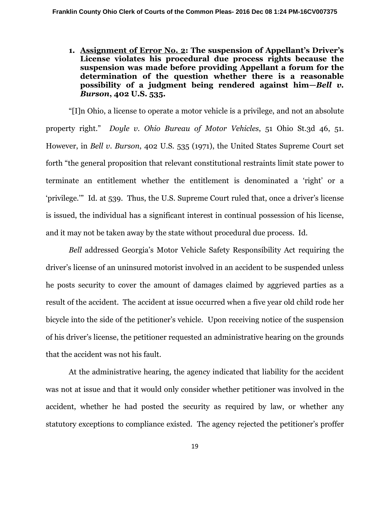**1. Assignment of Error No. 2: The suspension of Appellant's Driver's License violates his procedural due process rights because the suspension was made before providing Appellant a forum for the determination of the question whether there is a reasonable possibility of a judgment being rendered against him—***Bell v. Burson***, 402 U.S. 535.** 

"[I]n Ohio, a license to operate a motor vehicle is a privilege, and not an absolute property right." *Doyle v. Ohio Bureau of Motor Vehicles*, 51 Ohio St.3d 46, 51. However, in *Bell v. Burson*, 402 U.S. 535 (1971), the United States Supreme Court set forth "the general proposition that relevant constitutional restraints limit state power to terminate an entitlement whether the entitlement is denominated a 'right' or a 'privilege.'" Id. at 539. Thus, the U.S. Supreme Court ruled that, once a driver's license is issued, the individual has a significant interest in continual possession of his license, and it may not be taken away by the state without procedural due process. Id.

*Bell* addressed Georgia's Motor Vehicle Safety Responsibility Act requiring the driver's license of an uninsured motorist involved in an accident to be suspended unless he posts security to cover the amount of damages claimed by aggrieved parties as a result of the accident. The accident at issue occurred when a five year old child rode her bicycle into the side of the petitioner's vehicle. Upon receiving notice of the suspension of his driver's license, the petitioner requested an administrative hearing on the grounds that the accident was not his fault.

At the administrative hearing, the agency indicated that liability for the accident was not at issue and that it would only consider whether petitioner was involved in the accident, whether he had posted the security as required by law, or whether any statutory exceptions to compliance existed. The agency rejected the petitioner's proffer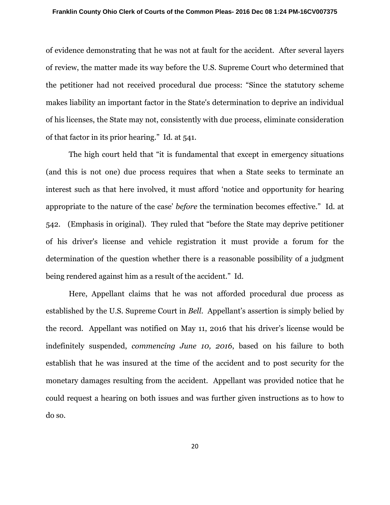of evidence demonstrating that he was not at fault for the accident. After several layers of review, the matter made its way before the U.S. Supreme Court who determined that the petitioner had not received procedural due process: "Since the statutory scheme makes liability an important factor in the State's determination to deprive an individual of his licenses, the State may not, consistently with due process, eliminate consideration of that factor in its prior hearing." Id. at 541.

The high court held that "it is fundamental that except in emergency situations (and this is not one) due process requires that when a State seeks to terminate an interest such as that here involved, it must afford 'notice and opportunity for hearing appropriate to the nature of the case' *before* the termination becomes effective." Id. at 542. (Emphasis in original). They ruled that "before the State may deprive petitioner of his driver's license and vehicle registration it must provide a forum for the determination of the question whether there is a reasonable possibility of a judgment being rendered against him as a result of the accident." Id.

Here, Appellant claims that he was not afforded procedural due process as established by the U.S. Supreme Court in *Bell*. Appellant's assertion is simply belied by the record. Appellant was notified on May 11, 2016 that his driver's license would be indefinitely suspended, *commencing June 10, 2016*, based on his failure to both establish that he was insured at the time of the accident and to post security for the monetary damages resulting from the accident. Appellant was provided notice that he could request a hearing on both issues and was further given instructions as to how to do so.

20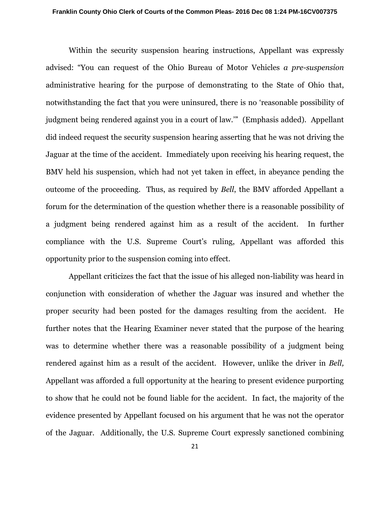Within the security suspension hearing instructions, Appellant was expressly advised: "You can request of the Ohio Bureau of Motor Vehicles *a pre-suspension* administrative hearing for the purpose of demonstrating to the State of Ohio that, notwithstanding the fact that you were uninsured, there is no 'reasonable possibility of judgment being rendered against you in a court of law.'" (Emphasis added). Appellant did indeed request the security suspension hearing asserting that he was not driving the Jaguar at the time of the accident. Immediately upon receiving his hearing request, the BMV held his suspension, which had not yet taken in effect, in abeyance pending the outcome of the proceeding. Thus, as required by *Bell*, the BMV afforded Appellant a forum for the determination of the question whether there is a reasonable possibility of a judgment being rendered against him as a result of the accident. In further compliance with the U.S. Supreme Court's ruling, Appellant was afforded this opportunity prior to the suspension coming into effect.

Appellant criticizes the fact that the issue of his alleged non-liability was heard in conjunction with consideration of whether the Jaguar was insured and whether the proper security had been posted for the damages resulting from the accident. He further notes that the Hearing Examiner never stated that the purpose of the hearing was to determine whether there was a reasonable possibility of a judgment being rendered against him as a result of the accident. However, unlike the driver in *Bell,*  Appellant was afforded a full opportunity at the hearing to present evidence purporting to show that he could not be found liable for the accident. In fact, the majority of the evidence presented by Appellant focused on his argument that he was not the operator of the Jaguar. Additionally, the U.S. Supreme Court expressly sanctioned combining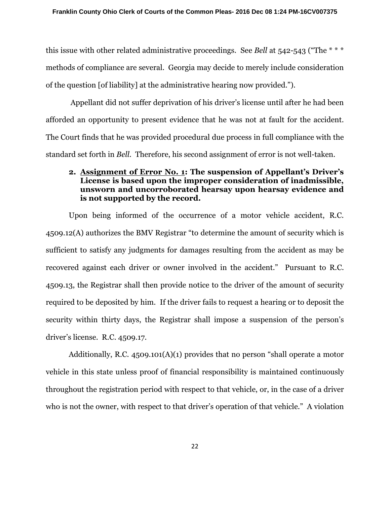this issue with other related administrative proceedings. See *Bell* at 542-543 ("The \* \* \* methods of compliance are several. Georgia may decide to merely include consideration of the question [of liability] at the administrative hearing now provided.").

 Appellant did not suffer deprivation of his driver's license until after he had been afforded an opportunity to present evidence that he was not at fault for the accident. The Court finds that he was provided procedural due process in full compliance with the standard set forth in *Bell.* Therefore, his second assignment of error is not well-taken.

# **2. Assignment of Error No. 1: The suspension of Appellant's Driver's License is based upon the improper consideration of inadmissible, unsworn and uncorroborated hearsay upon hearsay evidence and is not supported by the record.**

Upon being informed of the occurrence of a motor vehicle accident, R.C. 4509.12(A) authorizes the BMV Registrar "to determine the amount of security which is sufficient to satisfy any judgments for damages resulting from the accident as may be recovered against each driver or owner involved in the accident." Pursuant to R.C. 4509.13, the Registrar shall then provide notice to the driver of the amount of security required to be deposited by him. If the driver fails to request a hearing or to deposit the security within thirty days, the Registrar shall impose a suspension of the person's driver's license. R.C. 4509.17.

Additionally, R.C. 4509.101(A)(1) provides that no person "shall operate a motor vehicle in this state unless proof of financial responsibility is maintained continuously throughout the registration period with respect to that vehicle, or, in the case of a driver who is not the owner, with respect to that driver's operation of that vehicle." A violation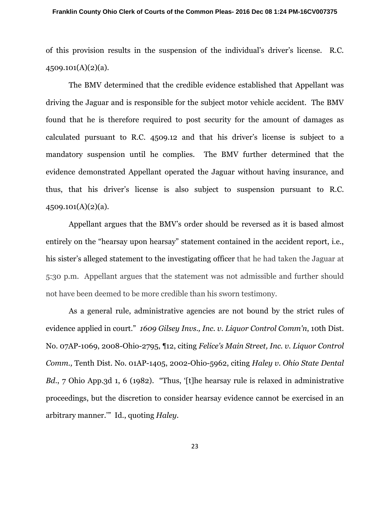of this provision results in the suspension of the individual's driver's license. R.C. 4509.101(A)(2)(a).

The BMV determined that the credible evidence established that Appellant was driving the Jaguar and is responsible for the subject motor vehicle accident. The BMV found that he is therefore required to post security for the amount of damages as calculated pursuant to R.C. 4509.12 and that his driver's license is subject to a mandatory suspension until he complies. The BMV further determined that the evidence demonstrated Appellant operated the Jaguar without having insurance, and thus, that his driver's license is also subject to suspension pursuant to R.C. 4509.101(A)(2)(a).

Appellant argues that the BMV's order should be reversed as it is based almost entirely on the "hearsay upon hearsay" statement contained in the accident report, i.e., his sister's alleged statement to the investigating officer that he had taken the Jaguar at 5:30 p.m. Appellant argues that the statement was not admissible and further should not have been deemed to be more credible than his sworn testimony.

As a general rule, administrative agencies are not bound by the strict rules of evidence applied in court." *1609 Gilsey Invs., Inc. v. Liquor Control Comm'n*, 10th Dist. No. 07AP-1069, 2008-Ohio-2795, ¶12, citing *Felice's Main Street, Inc. v. Liquor Control Comm.,* Tenth Dist. No. 01AP-1405, 2002-Ohio-5962, citing *Haley v. Ohio State Dental Bd.*, 7 Ohio App.3d 1, 6 (1982). "Thus, '[t]he hearsay rule is relaxed in administrative proceedings, but the discretion to consider hearsay evidence cannot be exercised in an arbitrary manner.'" Id., quoting *Haley.*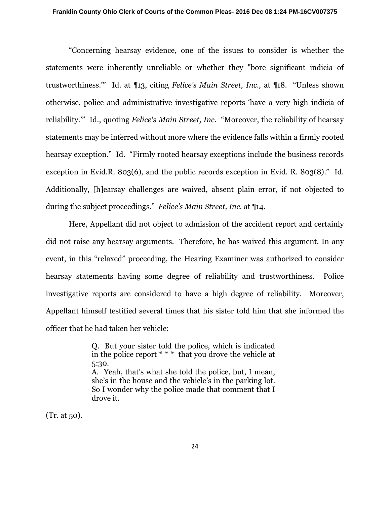"Concerning hearsay evidence, one of the issues to consider is whether the statements were inherently unreliable or whether they "bore significant indicia of trustworthiness.'" Id. at ¶13, citing *Felice's Main Street, Inc.,* at ¶18. "Unless shown otherwise, police and administrative investigative reports 'have a very high indicia of reliability.'" Id., quoting *Felice's Main Street, Inc.* "Moreover, the reliability of hearsay statements may be inferred without more where the evidence falls within a firmly rooted hearsay exception." Id. "Firmly rooted hearsay exceptions include the business records exception in Evid.R. 803(6), and the public records exception in Evid. R. 803(8)." Id. Additionally, [h]earsay challenges are waived, absent plain error, if not objected to during the subject proceedings." *Felice's Main Street, Inc.* at ¶14.

Here, Appellant did not object to admission of the accident report and certainly did not raise any hearsay arguments. Therefore, he has waived this argument. In any event, in this "relaxed" proceeding, the Hearing Examiner was authorized to consider hearsay statements having some degree of reliability and trustworthiness. Police investigative reports are considered to have a high degree of reliability. Moreover, Appellant himself testified several times that his sister told him that she informed the officer that he had taken her vehicle:

> Q. But your sister told the police, which is indicated in the police report \* \* \* that you drove the vehicle at 5:30. A. Yeah, that's what she told the police, but, I mean, she's in the house and the vehicle's in the parking lot. So I wonder why the police made that comment that I drove it.

(Tr. at 50).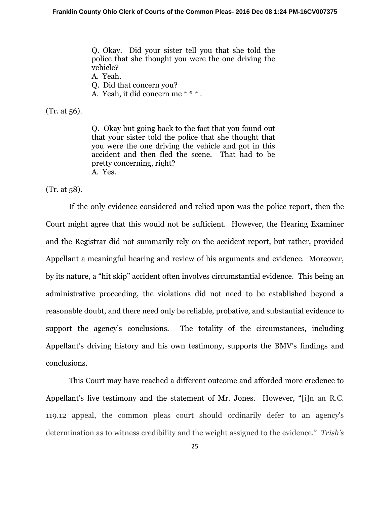Q. Okay. Did your sister tell you that she told the police that she thought you were the one driving the vehicle?

A. Yeah.

Q. Did that concern you?

A. Yeah, it did concern me \* \* \* .

(Tr. at 56).

Q. Okay but going back to the fact that you found out that your sister told the police that she thought that you were the one driving the vehicle and got in this accident and then fled the scene. That had to be pretty concerning, right? A. Yes.

(Tr. at 58).

 If the only evidence considered and relied upon was the police report, then the Court might agree that this would not be sufficient. However, the Hearing Examiner and the Registrar did not summarily rely on the accident report, but rather, provided Appellant a meaningful hearing and review of his arguments and evidence. Moreover, by its nature, a "hit skip" accident often involves circumstantial evidence. This being an administrative proceeding, the violations did not need to be established beyond a reasonable doubt, and there need only be reliable, probative, and substantial evidence to support the agency's conclusions. The totality of the circumstances, including Appellant's driving history and his own testimony, supports the BMV's findings and conclusions.

This Court may have reached a different outcome and afforded more credence to Appellant's live testimony and the statement of Mr. Jones. However, "[i]n an R.C. 119.12 appeal, the common pleas court should ordinarily defer to an agency's determination as to witness credibility and the weight assigned to the evidence." *Trish's*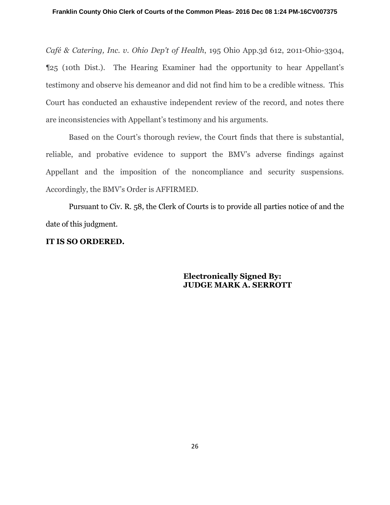*Café & Catering, Inc. v. Ohio Dep't of Health*, 195 Ohio App.3d 612, 2011-Ohio-3304, ¶25 (10th Dist.). The Hearing Examiner had the opportunity to hear Appellant's testimony and observe his demeanor and did not find him to be a credible witness. This Court has conducted an exhaustive independent review of the record, and notes there are inconsistencies with Appellant's testimony and his arguments.

Based on the Court's thorough review, the Court finds that there is substantial, reliable, and probative evidence to support the BMV's adverse findings against Appellant and the imposition of the noncompliance and security suspensions. Accordingly, the BMV's Order is AFFIRMED.

Pursuant to Civ. R. 58, the Clerk of Courts is to provide all parties notice of and the date of this judgment.

# **IT IS SO ORDERED.**

 **Electronically Signed By: JUDGE MARK A. SERROTT**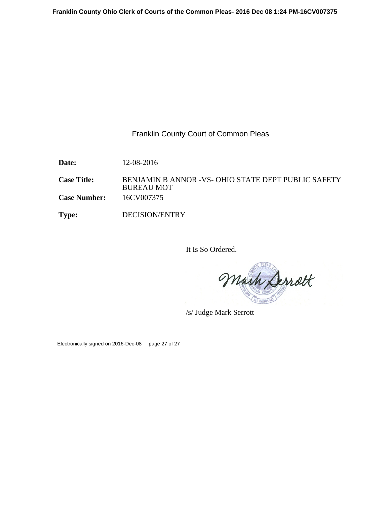Franklin County Court of Common Pleas

**Date:** 12-08-2016

Case Title: BENJAMIN B ANNOR -VS- OHIO STATE DEPT PUBLIC SAFETY BUREAU MOT **Case Number:** 16CV007375

**Type:** DECISION/ENTRY

It Is So Ordered.

Mark Serrett

/s/ Judge Mark Serrott

Electronically signed on 2016-Dec-08 page 27 of 27